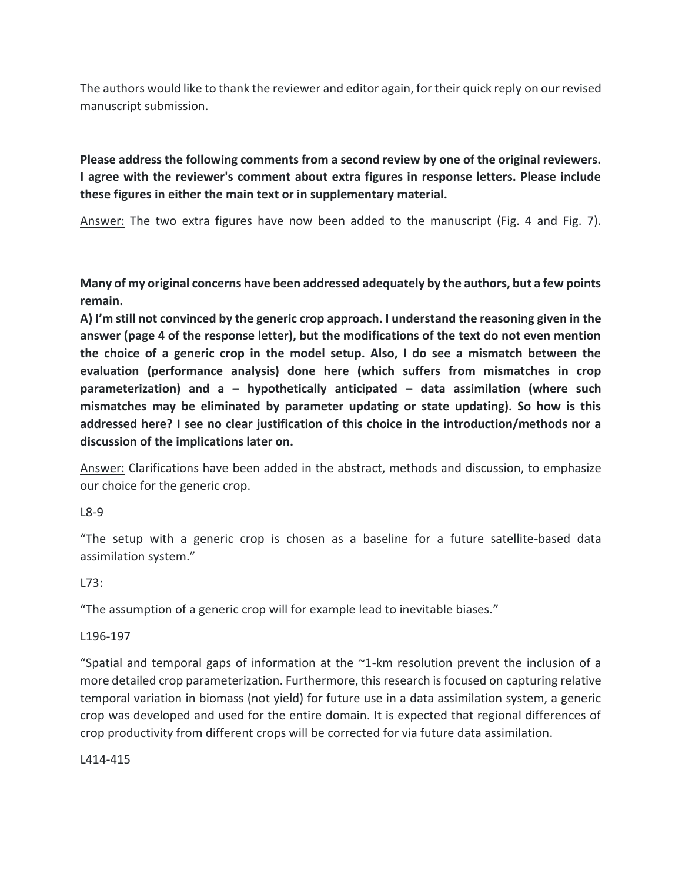The authors would like to thank the reviewer and editor again, for their quick reply on our revised manuscript submission.

**Please address the following comments from a second review by one of the original reviewers. I agree with the reviewer's comment about extra figures in response letters. Please include these figures in either the main text or in supplementary material.** 

Answer: The two extra figures have now been added to the manuscript (Fig. 4 and Fig. 7).

**Many of my original concerns have been addressed adequately by the authors, but a few points remain.**

**A) I'm still not convinced by the generic crop approach. I understand the reasoning given in the answer (page 4 of the response letter), but the modifications of the text do not even mention the choice of a generic crop in the model setup. Also, I do see a mismatch between the evaluation (performance analysis) done here (which suffers from mismatches in crop parameterization) and a – hypothetically anticipated – data assimilation (where such mismatches may be eliminated by parameter updating or state updating). So how is this addressed here? I see no clear justification of this choice in the introduction/methods nor a discussion of the implications later on.**

Answer: Clarifications have been added in the abstract, methods and discussion, to emphasize our choice for the generic crop.

L8-9

"The setup with a generic crop is chosen as a baseline for a future satellite-based data assimilation system."

 $173:$ 

"The assumption of a generic crop will for example lead to inevitable biases."

L196-197

"Spatial and temporal gaps of information at the  $\gamma$ 1-km resolution prevent the inclusion of a more detailed crop parameterization. Furthermore, this research is focused on capturing relative temporal variation in biomass (not yield) for future use in a data assimilation system, a generic crop was developed and used for the entire domain. It is expected that regional differences of crop productivity from different crops will be corrected for via future data assimilation.

L414-415